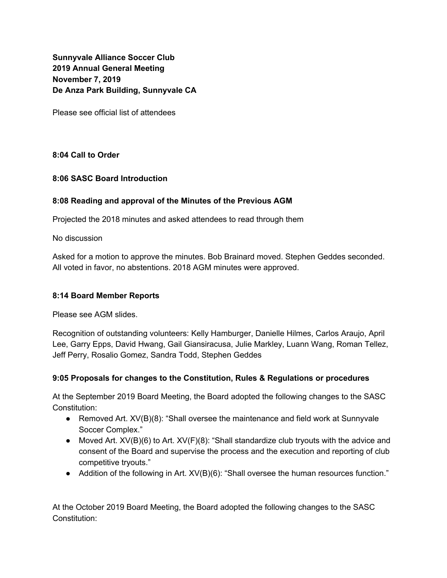**Sunnyvale Alliance Soccer Club 2019 Annual General Meeting November 7, 2019 De Anza Park Building, Sunnyvale CA**

Please see official list of attendees

**8:04 Call to Order**

### **8:06 SASC Board Introduction**

### **8:08 Reading and approval of the Minutes of the Previous AGM**

Projected the 2018 minutes and asked attendees to read through them

No discussion

Asked for a motion to approve the minutes. Bob Brainard moved. Stephen Geddes seconded. All voted in favor, no abstentions. 2018 AGM minutes were approved.

#### **8:14 Board Member Reports**

Please see AGM slides.

Recognition of outstanding volunteers: Kelly Hamburger, Danielle Hilmes, Carlos Araujo, April Lee, Garry Epps, David Hwang, Gail Giansiracusa, Julie Markley, Luann Wang, Roman Tellez, Jeff Perry, Rosalio Gomez, Sandra Todd, Stephen Geddes

### **9:05 Proposals for changes to the Constitution, Rules & Regulations or procedures**

At the September 2019 Board Meeting, the Board adopted the following changes to the SASC Constitution:

- Removed Art. XV(B)(8): "Shall oversee the maintenance and field work at Sunnyvale Soccer Complex."
- Moved Art.  $XY(B)(6)$  to Art.  $XY(F)(8)$ : "Shall standardize club tryouts with the advice and consent of the Board and supervise the process and the execution and reporting of club competitive tryouts."
- Addition of the following in Art. XV(B)(6): "Shall oversee the human resources function."

At the October 2019 Board Meeting, the Board adopted the following changes to the SASC Constitution: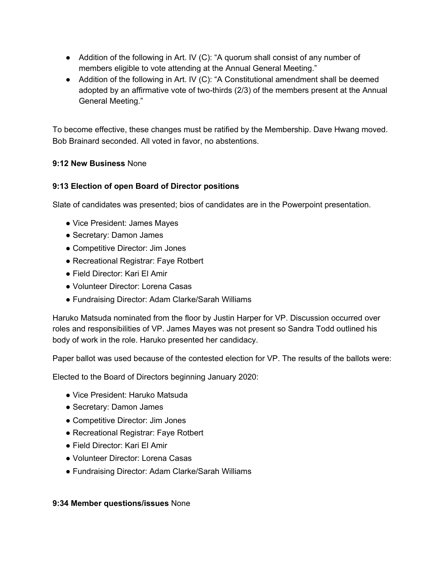- Addition of the following in Art. IV (C): "A quorum shall consist of any number of members eligible to vote attending at the Annual General Meeting."
- Addition of the following in Art. IV (C): "A Constitutional amendment shall be deemed adopted by an affirmative vote of two-thirds (2/3) of the members present at the Annual General Meeting."

To become effective, these changes must be ratified by the Membership. Dave Hwang moved. Bob Brainard seconded. All voted in favor, no abstentions.

## **9:12 New Business** None

### **9:13 Election of open Board of Director positions**

Slate of candidates was presented; bios of candidates are in the Powerpoint presentation.

- Vice President: James Mayes
- Secretary: Damon James
- Competitive Director: Jim Jones
- Recreational Registrar: Faye Rotbert
- Field Director: Kari El Amir
- Volunteer Director: Lorena Casas
- Fundraising Director: Adam Clarke/Sarah Williams

Haruko Matsuda nominated from the floor by Justin Harper for VP. Discussion occurred over roles and responsibilities of VP. James Mayes was not present so Sandra Todd outlined his body of work in the role. Haruko presented her candidacy.

Paper ballot was used because of the contested election for VP. The results of the ballots were:

Elected to the Board of Directors beginning January 2020:

- Vice President: Haruko Matsuda
- Secretary: Damon James
- Competitive Director: Jim Jones
- Recreational Registrar: Faye Rotbert
- Field Director: Kari El Amir
- Volunteer Director: Lorena Casas
- Fundraising Director: Adam Clarke/Sarah Williams

### **9:34 Member questions/issues** None